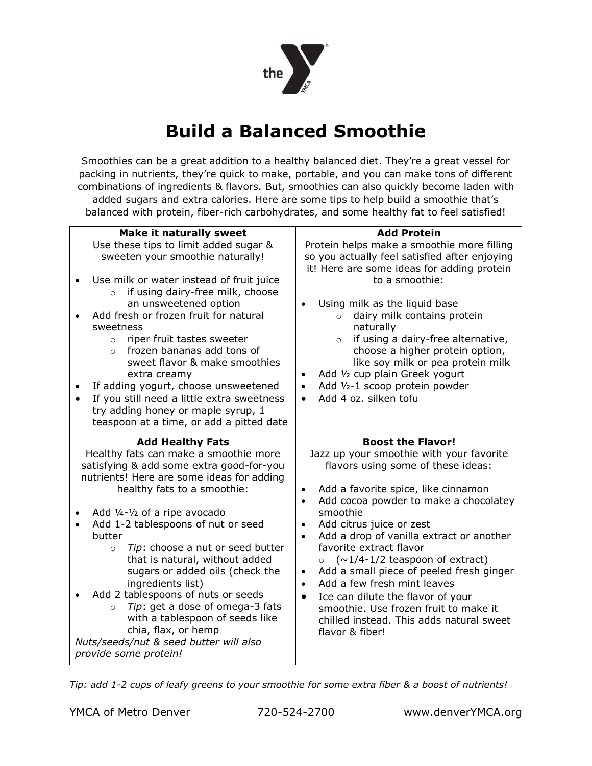

# **Build a Balanced Smoothie**

Smoothies can be a great addition to a healthy balanced diet. They're a great vessel for packing in nutrients, they're quick to make, portable, and you can make tons of different combinations of ingredients & flavors. But, smoothies can also quickly become laden with added sugars and extra calories. Here are some tips to help build a smoothie that's balanced with protein, fiber-rich carbohydrates, and some healthy fat to feel satisfied!

| <b>Make it naturally sweet</b><br>Use these tips to limit added sugar &<br>sweeten your smoothie naturally!<br>Use milk or water instead of fruit juice<br>$\bullet$<br>if using dairy-free milk, choose<br>$\circ$<br>an unsweetened option<br>Add fresh or frozen fruit for natural<br>sweetness<br>riper fruit tastes sweeter<br>$\circ$<br>frozen bananas add tons of<br>$\Omega$<br>sweet flavor & make smoothies<br>extra creamy<br>If adding yogurt, choose unsweetened<br>$\bullet$<br>If you still need a little extra sweetness<br>$\bullet$<br>try adding honey or maple syrup, 1<br>teaspoon at a time, or add a pitted date | <b>Add Protein</b><br>Protein helps make a smoothie more filling<br>so you actually feel satisfied after enjoying<br>it! Here are some ideas for adding protein<br>to a smoothie:<br>Using milk as the liquid base<br>dairy milk contains protein<br>$\circ$<br>naturally<br>if using a dairy-free alternative,<br>$\circ$<br>choose a higher protein option,<br>like soy milk or pea protein milk<br>Add 1/2 cup plain Greek yogurt<br>$\bullet$<br>Add 1/2-1 scoop protein powder<br>$\bullet$<br>Add 4 oz. silken tofu<br>$\bullet$                                                                                                                                                 |
|------------------------------------------------------------------------------------------------------------------------------------------------------------------------------------------------------------------------------------------------------------------------------------------------------------------------------------------------------------------------------------------------------------------------------------------------------------------------------------------------------------------------------------------------------------------------------------------------------------------------------------------|----------------------------------------------------------------------------------------------------------------------------------------------------------------------------------------------------------------------------------------------------------------------------------------------------------------------------------------------------------------------------------------------------------------------------------------------------------------------------------------------------------------------------------------------------------------------------------------------------------------------------------------------------------------------------------------|
| <b>Add Healthy Fats</b><br>Healthy fats can make a smoothie more<br>satisfying & add some extra good-for-you<br>nutrients! Here are some ideas for adding<br>healthy fats to a smoothie:<br>Add 1/4-1/2 of a ripe avocado<br>Add 1-2 tablespoons of nut or seed<br>butter<br>Tip: choose a nut or seed butter<br>$\circ$<br>that is natural, without added<br>sugars or added oils (check the<br>ingredients list)<br>Add 2 tablespoons of nuts or seeds<br>Tip: get a dose of omega-3 fats<br>$\circ$<br>with a tablespoon of seeds like<br>chia, flax, or hemp<br>Nuts/seeds/nut & seed butter will also<br>provide some protein!      | <b>Boost the Flavor!</b><br>Jazz up your smoothie with your favorite<br>flavors using some of these ideas:<br>Add a favorite spice, like cinnamon<br>Add cocoa powder to make a chocolatey<br>$\bullet$<br>smoothie<br>Add citrus juice or zest<br>$\bullet$<br>Add a drop of vanilla extract or another<br>$\bullet$<br>favorite extract flavor<br>$(\sim\!1/4\text{-}1/2 \text{ tes}$ reaspoon of extract)<br>$\circ$<br>Add a small piece of peeled fresh ginger<br>$\bullet$<br>Add a few fresh mint leaves<br>$\bullet$<br>Ice can dilute the flavor of your<br>$\bullet$<br>smoothie. Use frozen fruit to make it<br>chilled instead. This adds natural sweet<br>flavor & fiber! |

*Tip: add 1-2 cups of leafy greens to your smoothie for some extra fiber & a boost of nutrients!*